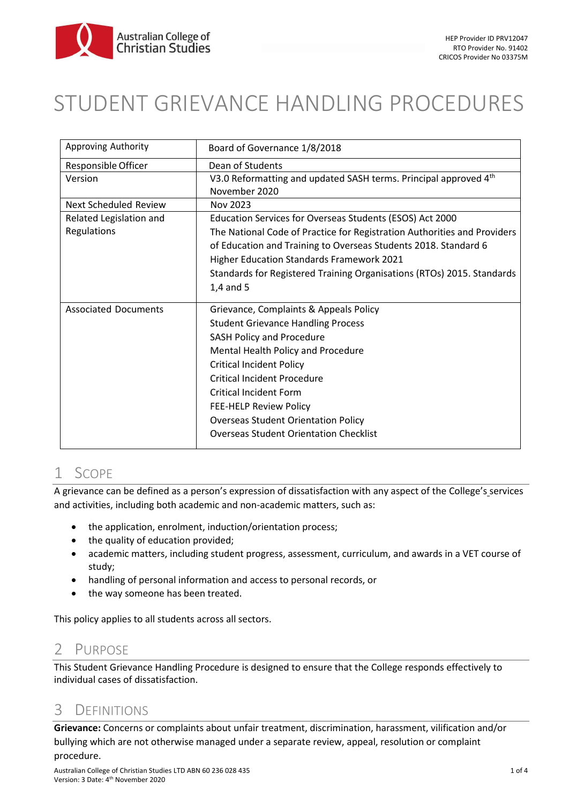

# STUDENT GRIEVANCE HANDLING PROCEDURES

| Approving Authority          | Board of Governance 1/8/2018                                                      |
|------------------------------|-----------------------------------------------------------------------------------|
| Responsible Officer          | Dean of Students                                                                  |
| Version                      | V3.0 Reformatting and updated SASH terms. Principal approved 4th<br>November 2020 |
| <b>Next Scheduled Review</b> | Nov 2023                                                                          |
| Related Legislation and      | Education Services for Overseas Students (ESOS) Act 2000                          |
| Regulations                  | The National Code of Practice for Registration Authorities and Providers          |
|                              | of Education and Training to Overseas Students 2018. Standard 6                   |
|                              | Higher Education Standards Framework 2021                                         |
|                              | Standards for Registered Training Organisations (RTOs) 2015. Standards            |
|                              | $1,4$ and 5                                                                       |
| <b>Associated Documents</b>  | Grievance, Complaints & Appeals Policy                                            |
|                              | <b>Student Grievance Handling Process</b>                                         |
|                              | <b>SASH Policy and Procedure</b>                                                  |
|                              | Mental Health Policy and Procedure                                                |
|                              | <b>Critical Incident Policy</b>                                                   |
|                              | <b>Critical Incident Procedure</b>                                                |
|                              | <b>Critical Incident Form</b>                                                     |
|                              | FEE-HELP Review Policy                                                            |
|                              | <b>Overseas Student Orientation Policy</b>                                        |
|                              | <b>Overseas Student Orientation Checklist</b>                                     |

## 1 SCOPE

A grievance can be defined as a person's expression of dissatisfaction with any aspect of the College's services and activities, including both academic and non-academic matters, such as:

- the application, enrolment, induction/orientation process;
- the quality of education provided;
- academic matters, including student progress, assessment, curriculum, and awards in a VET course of study;
- handling of personal information and access to personal records, or
- the way someone has been treated.

This policy applies to all students across all sectors.

### 2 PURPOSE

This Student Grievance Handling Procedure is designed to ensure that the College responds effectively to individual cases of dissatisfaction.

### 3 DEFINITIONS

**Grievance:** Concerns or complaints about unfair treatment, discrimination, harassment, vilification and/or bullying which are not otherwise managed under a separate review, appeal, resolution or complaint procedure.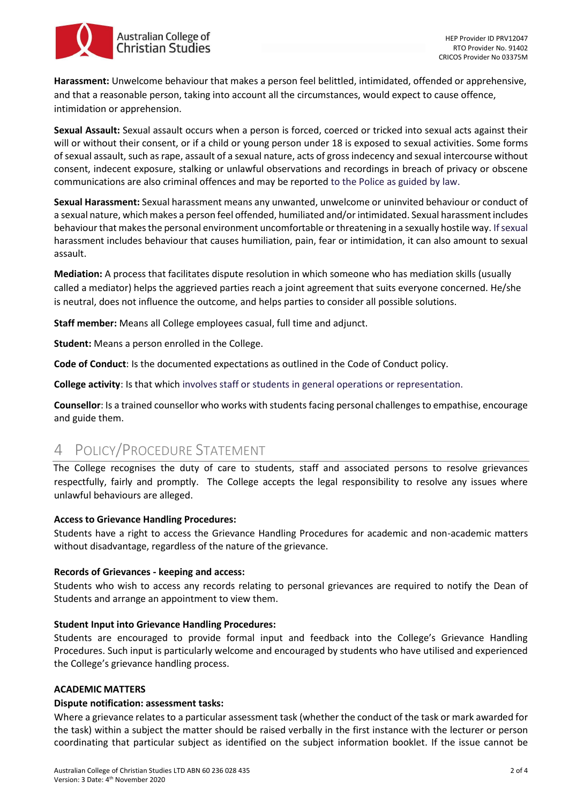

**Harassment:** Unwelcome behaviour that makes a person feel belittled, intimidated, offended or apprehensive, and that a reasonable person, taking into account all the circumstances, would expect to cause offence, intimidation or apprehension.

**Sexual Assault:** Sexual assault occurs when a person is forced, coerced or tricked into sexual acts against their will or without their consent, or if a child or young person under 18 is exposed to sexual activities. Some forms of sexual assault, such as rape, assault of a sexual nature, acts of gross indecency and sexual intercourse without consent, indecent exposure, stalking or unlawful observations and recordings in breach of privacy or obscene communications are also criminal offences and may be reported to the Police as guided by law.

**Sexual Harassment:** Sexual harassment means any unwanted, unwelcome or uninvited behaviour or conduct of a sexual nature, which makes a person feel offended, humiliated and/or intimidated. Sexual harassment includes behaviour that makes the personal environment uncomfortable or threatening in a sexually hostile way. If sexual harassment includes behaviour that causes humiliation, pain, fear or intimidation, it can also amount to sexual assault.

**Mediation:** A process that facilitates dispute resolution in which someone who has mediation skills (usually called a mediator) helps the aggrieved parties reach a joint agreement that suits everyone concerned. He/she is neutral, does not influence the outcome, and helps parties to consider all possible solutions.

**Staff member:** Means all College employees casual, full time and adjunct.

**Student:** Means a person enrolled in the College.

**Code of Conduct**: Is the documented expectations as outlined in the Code of Conduct policy.

**College activity**: Is that which involves staff or students in general operations or representation.

**Counsellor**: Is a trained counsellor who works with students facing personal challenges to empathise, encourage and guide them.

## 4 POLICY/PROCEDURE STATEMENT

The College recognises the duty of care to students, staff and associated persons to resolve grievances respectfully, fairly and promptly. The College accepts the legal responsibility to resolve any issues where unlawful behaviours are alleged.

#### **Access to Grievance Handling Procedures:**

Students have a right to access the Grievance Handling Procedures for academic and non-academic matters without disadvantage, regardless of the nature of the grievance.

#### **Records of Grievances - keeping and access:**

Students who wish to access any records relating to personal grievances are required to notify the Dean of Students and arrange an appointment to view them.

#### **Student Input into Grievance Handling Procedures:**

Students are encouraged to provide formal input and feedback into the College's Grievance Handling Procedures. Such input is particularly welcome and encouraged by students who have utilised and experienced the College's grievance handling process.

#### **ACADEMIC MATTERS**

#### **Dispute notification: assessment tasks:**

Where a grievance relates to a particular assessment task (whether the conduct of the task or mark awarded for the task) within a subject the matter should be raised verbally in the first instance with the lecturer or person coordinating that particular subject as identified on the subject information booklet. If the issue cannot be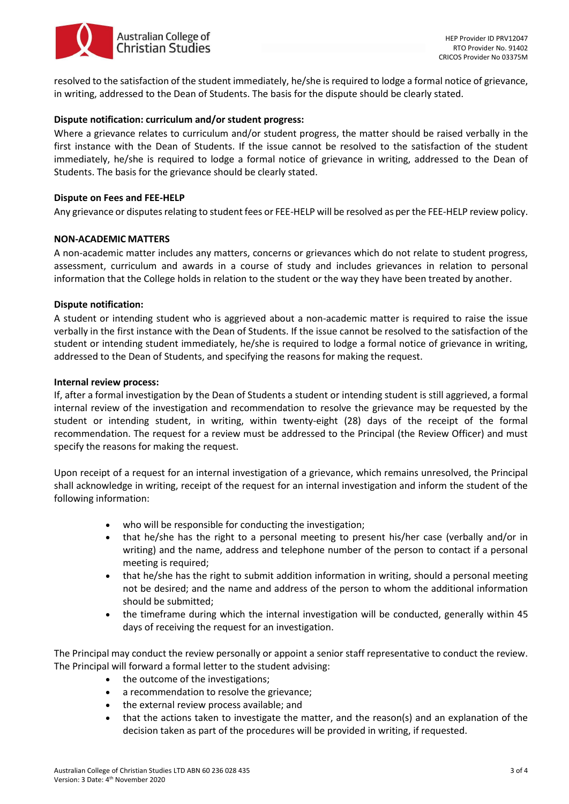

resolved to the satisfaction of the student immediately, he/she is required to lodge a formal notice of grievance, in writing, addressed to the Dean of Students. The basis for the dispute should be clearly stated.

#### **Dispute notification: curriculum and/or student progress:**

Where a grievance relates to curriculum and/or student progress, the matter should be raised verbally in the first instance with the Dean of Students. If the issue cannot be resolved to the satisfaction of the student immediately, he/she is required to lodge a formal notice of grievance in writing, addressed to the Dean of Students. The basis for the grievance should be clearly stated.

#### **Dispute on Fees and FEE-HELP**

Any grievance or disputes relating to student fees or FEE-HELP will be resolved as per the FEE-HELP review policy.

#### **NON-ACADEMIC MATTERS**

A non-academic matter includes any matters, concerns or grievances which do not relate to student progress, assessment, curriculum and awards in a course of study and includes grievances in relation to personal information that the College holds in relation to the student or the way they have been treated by another.

#### **Dispute notification:**

A student or intending student who is aggrieved about a non-academic matter is required to raise the issue verbally in the first instance with the Dean of Students. If the issue cannot be resolved to the satisfaction of the student or intending student immediately, he/she is required to lodge a formal notice of grievance in writing, addressed to the Dean of Students, and specifying the reasons for making the request.

#### **Internal review process:**

If, after a formal investigation by the Dean of Students a student or intending student is still aggrieved, a formal internal review of the investigation and recommendation to resolve the grievance may be requested by the student or intending student, in writing, within twenty-eight (28) days of the receipt of the formal recommendation. The request for a review must be addressed to the Principal (the Review Officer) and must specify the reasons for making the request.

Upon receipt of a request for an internal investigation of a grievance, which remains unresolved, the Principal shall acknowledge in writing, receipt of the request for an internal investigation and inform the student of the following information:

- who will be responsible for conducting the investigation;
- that he/she has the right to a personal meeting to present his/her case (verbally and/or in writing) and the name, address and telephone number of the person to contact if a personal meeting is required;
- that he/she has the right to submit addition information in writing, should a personal meeting not be desired; and the name and address of the person to whom the additional information should be submitted;
- the timeframe during which the internal investigation will be conducted, generally within 45 days of receiving the request for an investigation.

The Principal may conduct the review personally or appoint a senior staff representative to conduct the review. The Principal will forward a formal letter to the student advising:

- the outcome of the investigations;
- a recommendation to resolve the grievance;
- the external review process available; and
- that the actions taken to investigate the matter, and the reason(s) and an explanation of the decision taken as part of the procedures will be provided in writing, if requested.